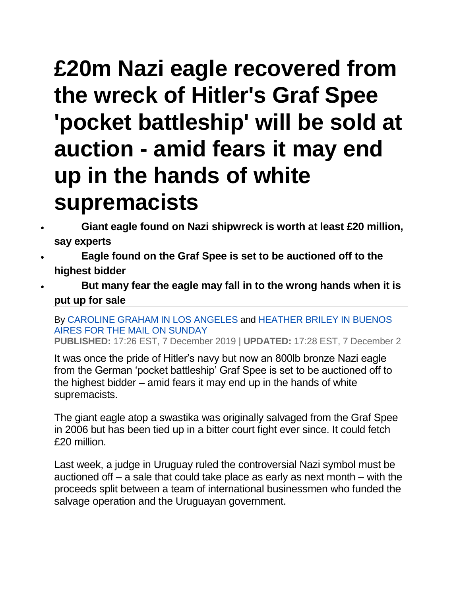## **£20m Nazi eagle recovered from the wreck of Hitler's Graf Spee 'pocket battleship' will be sold at auction - amid fears it may end up in the hands of white supremacists**

- **Giant eagle found on Nazi shipwreck is worth at least £20 million, say experts**
- **Eagle found on the Graf Spee is set to be auctioned off to the highest bidder**
- **But many fear the eagle may fall in to the wrong hands when it is put up for sale**

By [CAROLINE GRAHAM IN LOS ANGELES](https://www.dailymail.co.uk/home/search.html?s=&authornamef=Caroline+Graham+In+Los+Angeles) and [HEATHER BRILEY IN BUENOS](https://www.dailymail.co.uk/home/search.html?s=&authornamef=Heather+Briley+In+Buenos+Aires+For+The+Mail+On+Sunday)  [AIRES FOR THE MAIL ON SUNDAY](https://www.dailymail.co.uk/home/search.html?s=&authornamef=Heather+Briley+In+Buenos+Aires+For+The+Mail+On+Sunday)

**PUBLISHED:** 17:26 EST, 7 December 2019 | **UPDATED:** 17:28 EST, 7 December 2

It was once the pride of Hitler's navy but now an 800lb bronze Nazi eagle from the German 'pocket battleship' Graf Spee is set to be auctioned off to the highest bidder – amid fears it may end up in the hands of white supremacists.

The giant eagle atop a swastika was originally salvaged from the Graf Spee in 2006 but has been tied up in a bitter court fight ever since. It could fetch £20 million.

Last week, a judge in Uruguay ruled the controversial Nazi symbol must be auctioned off – a sale that could take place as early as next month – with the proceeds split between a team of international businessmen who funded the salvage operation and the Uruguayan government.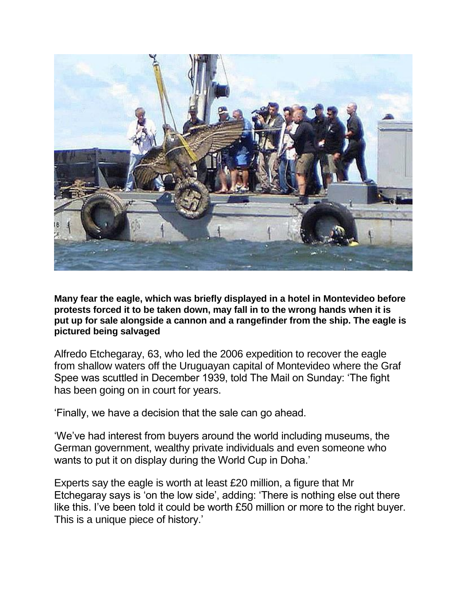

**Many fear the eagle, which was briefly displayed in a hotel in Montevideo before protests forced it to be taken down, may fall in to the wrong hands when it is put up for sale alongside a cannon and a rangefinder from the ship. The eagle is pictured being salvaged**

Alfredo Etchegaray, 63, who led the 2006 expedition to recover the eagle from shallow waters off the Uruguayan capital of Montevideo where the Graf Spee was scuttled in December 1939, told The Mail on Sunday: 'The fight has been going on in court for years.

'Finally, we have a decision that the sale can go ahead.

'We've had interest from buyers around the world including museums, the German government, wealthy private individuals and even someone who wants to put it on display during the World Cup in Doha.'

Experts say the eagle is worth at least £20 million, a figure that Mr Etchegaray says is 'on the low side', adding: 'There is nothing else out there like this. I've been told it could be worth £50 million or more to the right buyer. This is a unique piece of history.'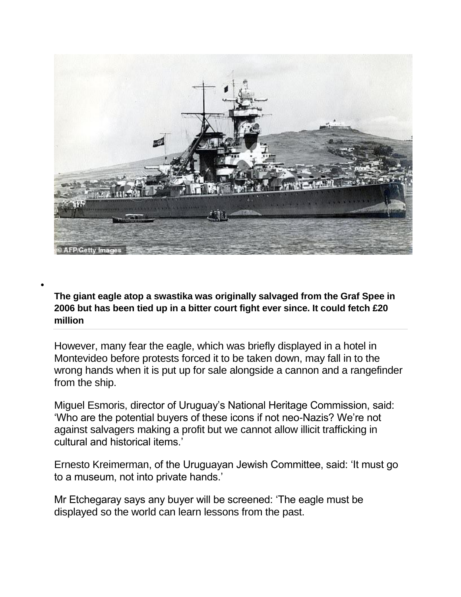

**The giant eagle atop a swastika was originally salvaged from the Graf Spee in 2006 but has been tied up in a bitter court fight ever since. It could fetch £20 million**

 $\bullet$ 

However, many fear the eagle, which was briefly displayed in a hotel in Montevideo before protests forced it to be taken down, may fall in to the wrong hands when it is put up for sale alongside a cannon and a rangefinder from the ship.

Miguel Esmoris, director of Uruguay's National Heritage Commission, said: 'Who are the potential buyers of these icons if not neo-Nazis? We're not against salvagers making a profit but we cannot allow illicit trafficking in cultural and historical items.'

Ernesto Kreimerman, of the Uruguayan Jewish Committee, said: 'It must go to a museum, not into private hands.'

Mr Etchegaray says any buyer will be screened: 'The eagle must be displayed so the world can learn lessons from the past.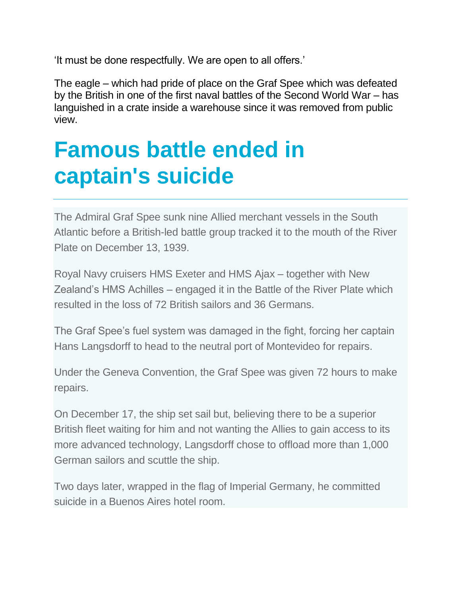'It must be done respectfully. We are open to all offers.'

The eagle – which had pride of place on the Graf Spee which was defeated by the British in one of the first naval battles of the Second World War – has languished in a crate inside a warehouse since it was removed from public view.

## **Famous battle ended in captain's suicide**

The Admiral Graf Spee sunk nine Allied merchant vessels in the South Atlantic before a British-led battle group tracked it to the mouth of the River Plate on December 13, 1939.

Royal Navy cruisers HMS Exeter and HMS Ajax – together with New Zealand's HMS Achilles – engaged it in the Battle of the River Plate which resulted in the loss of 72 British sailors and 36 Germans.

The Graf Spee's fuel system was damaged in the fight, forcing her captain Hans Langsdorff to head to the neutral port of Montevideo for repairs.

Under the Geneva Convention, the Graf Spee was given 72 hours to make repairs.

On December 17, the ship set sail but, believing there to be a superior British fleet waiting for him and not wanting the Allies to gain access to its more advanced technology, Langsdorff chose to offload more than 1,000 German sailors and scuttle the ship.

Two days later, wrapped in the flag of Imperial Germany, he committed suicide in a Buenos Aires hotel room.